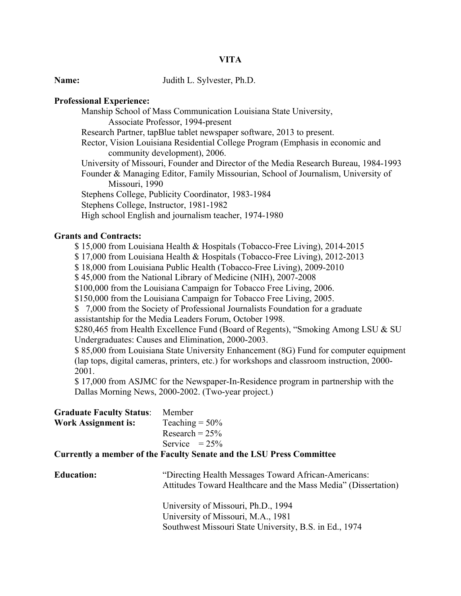# **VITA**

**Name:** Judith L. Sylvester, Ph.D.

### **Professional Experience:**

Manship School of Mass Communication Louisiana State University, Associate Professor, 1994-present Research Partner, tapBlue tablet newspaper software, 2013 to present. Rector, Vision Louisiana Residential College Program (Emphasis in economic and community development), 2006. University of Missouri, Founder and Director of the Media Research Bureau, 1984-1993 Founder & Managing Editor, Family Missourian, School of Journalism, University of Missouri, 1990 Stephens College, Publicity Coordinator, 1983-1984 Stephens College, Instructor, 1981-1982 High school English and journalism teacher, 1974-1980

# **Grants and Contracts:**

\$ 15,000 from Louisiana Health & Hospitals (Tobacco-Free Living), 2014-2015

\$ 17,000 from Louisiana Health & Hospitals (Tobacco-Free Living), 2012-2013

\$ 18,000 from Louisiana Public Health (Tobacco-Free Living), 2009-2010

\$ 45,000 from the National Library of Medicine (NIH), 2007-2008

\$100,000 from the Louisiana Campaign for Tobacco Free Living, 2006.

\$150,000 from the Louisiana Campaign for Tobacco Free Living, 2005.

\$ 7,000 from the Society of Professional Journalists Foundation for a graduate assistantship for the Media Leaders Forum, October 1998.

\$280,465 from Health Excellence Fund (Board of Regents), "Smoking Among LSU & SU Undergraduates: Causes and Elimination, 2000-2003.

\$ 85,000 from Louisiana State University Enhancement (8G) Fund for computer equipment (lap tops, digital cameras, printers, etc.) for workshops and classroom instruction, 2000- 2001.

\$ 17,000 from ASJMC for the Newspaper-In-Residence program in partnership with the Dallas Morning News, 2000-2002. (Two-year project.)

| <b>Graduate Faculty Status:</b> | Member            |
|---------------------------------|-------------------|
| <b>Work Assignment is:</b>      | Teaching $= 50\%$ |
|                                 | Research = $25%$  |
|                                 | Service $= 25\%$  |

#### **Currently a member of the Faculty Senate and the LSU Press Committee**

| <b>Education:</b> | "Directing Health Messages Toward African-Americans:<br>Attitudes Toward Healthcare and the Mass Media" (Dissertation) |
|-------------------|------------------------------------------------------------------------------------------------------------------------|
|                   | University of Missouri, Ph.D., 1994                                                                                    |
|                   | University of Missouri, M.A., 1981                                                                                     |
|                   | Southwest Missouri State University, B.S. in Ed., 1974                                                                 |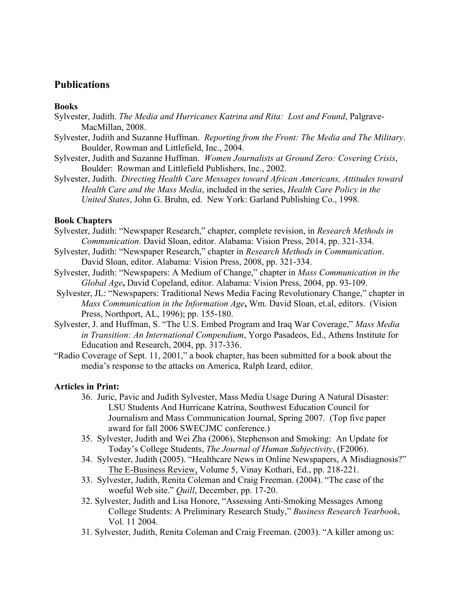# **Publications**

### **Books**

- Sylvester, Judith. *The Media and Hurricanes Katrina and Rita: Lost and Found*, Palgrave-MacMillan, 2008.
- Sylvester, Judith and Suzanne Huffman. *Reporting from the Front: The Media and The Military*. Boulder, Rowman and Littlefield, Inc., 2004.
- Sylvester, Judith and Suzanne Huffman. *Women Journalists at Ground Zero: Covering Crisis*, Boulder: Rowman and Littlefield Publishers, Inc., 2002.
- Sylvester, Judith.*Directing Health Care Messages toward African Americans, Attitudes toward Health Care and the Mass Media*, included in the series, *Health Care Policy in the United States*, John G. Bruhn, ed. New York: Garland Publishing Co., 1998.

## **Book Chapters**

- Sylvester, Judith: "Newspaper Research," chapter, complete revision, in *Research Methods in Communication*. David Sloan, editor. Alabama: Vision Press, 2014, pp. 321-334.
- Sylvester, Judith: "Newspaper Research," chapter in *Research Methods in Communication*. David Sloan, editor. Alabama: Vision Press, 2008, pp. 321-334.
- Sylvester, Judith: "Newspapers: A Medium of Change," chapter in *Mass Communication in the Global Age***,** David Copeland, editor. Alabama: Vision Press, 2004, pp. 93-109.
- Sylvester, JL: "Newspapers: Traditional News Media Facing Revolutionary Change," chapter in *Mass Communication in the Information Age***,** Wm. David Sloan, et.al, editors. (Vision Press, Northport, AL, 1996); pp. 155-180.
- Sylvester, J. and Huffman, S. "The U.S. Embed Program and Iraq War Coverage," *Mass Media in Transition: An International Compendium*, Yorgo Pasadeos, Ed., Athens Institute for Education and Research, 2004, pp. 317-336.
- "Radio Coverage of Sept. 11, 2001," a book chapter, has been submitted for a book about the media's response to the attacks on America, Ralph Izard, editor.

# **Articles in Print:**

- 36. Juric, Pavic and Judith Sylvester, Mass Media Usage During A Natural Disaster: LSU Students And Hurricane Katrina, Southwest Education Council for Journalism and Mass Communication Journal, Spring 2007. (Top five paper award for fall 2006 SWECJMC conference.)
- 35. Sylvester, Judith and Wei Zha (2006), Stephenson and Smoking: An Update for Today's College Students, *The Journal of Human Subjectivity*, (F2006).
- 34. Sylvester, Judith (2005). "Healthcare News in Online Newspapers, A Misdiagnosis?" The E-Business Review, Volume 5, Vinay Kothari, Ed., pp. 218-221.
- 33. Sylvester, Judith, Renita Coleman and Craig Freeman. (2004). "The case of the woeful Web site." *Quill*, December, pp. 17-20.
- 32. Sylvester, Judith and Lisa Honore, "Assessing Anti-Smoking Messages Among College Students: A Preliminary Research Study," *Business Research Yearbook*, Vol. 11 2004.
- 31. Sylvester, Judith, Renita Coleman and Craig Freeman. (2003). "A killer among us: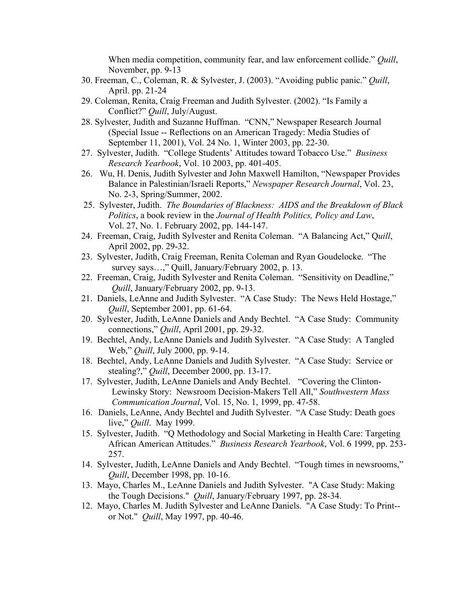When media competition, community fear, and law enforcement collide." *Quill*, November, pp. 9-13

- 30. Freeman, C., Coleman, R. & Sylvester, J. (2003). "Avoiding public panic." *Quill*, April. pp. 21-24
- 29. Coleman, Renita, Craig Freeman and Judith Sylvester. (2002). "Is Family a Conflict?" *Quill*, July/August.
- 28. Sylvester, Judith and Suzanne Huffman. "CNN," Newspaper Research Journal (Special Issue -- Reflections on an American Tragedy: Media Studies of September 11, 2001), Vol. 24 No. 1, Winter 2003, pp. 22-30.
- 27. Sylvester, Judith. "College Students' Attitudes toward Tobacco Use." *Business Research Yearbook*, Vol. 10 2003, pp. 401-405.
- 26. Wu, H. Denis, Judith Sylvester and John Maxwell Hamilton, "Newspaper Provides Balance in Palestinian/Israeli Reports," *Newspaper Research Journal*, Vol. 23, No. 2-3, Spring/Summer, 2002.
- 25. Sylvester, Judith. *The Boundaries of Blackness: AIDS and the Breakdown of Black Politics*, a book review in the *Journal of Health Politics, Policy and Law*, Vol. 27, No. 1. February 2002, pp. 144-147.
- 24. Freeman, Craig, Judith Sylvester and Renita Coleman. "A Balancing Act," Q*uill*, April 2002, pp. 29-32.
- 23. Sylvester, Judith, Craig Freeman, Renita Coleman and Ryan Goudelocke. "The survey says…," Quill, January/February 2002, p. 13.
- 22. Freeman, Craig, Judith Sylvester and Renita Coleman. "Sensitivity on Deadline," *Quill*, January/February 2002, pp. 9-13.
- 21. Daniels, LeAnne and Judith Sylvester. "A Case Study: The News Held Hostage," *Quill*, September 2001, pp. 61-64.
- 20. Sylvester, Judith, LeAnne Daniels and Andy Bechtel. "A Case Study: Community connections," *Quill*, April 2001, pp. 29-32.
- 19. Bechtel, Andy, LeAnne Daniels and Judith Sylvester. "A Case Study: A Tangled Web," *Quill*, July 2000, pp. 9-14.
- 18. Bechtel, Andy, LeAnne Daniels and Judith Sylvester. "A Case Study: Service or stealing?," *Quill*, December 2000, pp. 13-17.
- 17. Sylvester, Judith, LeAnne Daniels and Andy Bechtel. "Covering the Clinton-Lewinsky Story: Newsroom Decision-Makers Tell All," *Southwestern Mass Communication Journal*, Vol. 15, No. 1, 1999, pp. 47-58.
- 16. Daniels, LeAnne, Andy Bechtel and Judith Sylvester. "A Case Study: Death goes live," *Quill*. May 1999.
- 15. Sylvester, Judith. "Q Methodology and Social Marketing in Health Care: Targeting African American Attitudes." *Business Research Yearbook*, Vol. 6 1999, pp. 253- 257.
- 14. Sylvester, Judith, LeAnne Daniels and Andy Bechtel. "Tough times in newsrooms," *Quill*, December 1998, pp. 10-16.
- 13. Mayo, Charles M., LeAnne Daniels and Judith Sylvester. "A Case Study: Making the Tough Decisions." *Quill*, January/February 1997, pp. 28-34.
- 12. Mayo, Charles M. Judith Sylvester and LeAnne Daniels. "A Case Study: To Print- or Not." *Quill*, May 1997, pp. 40-46.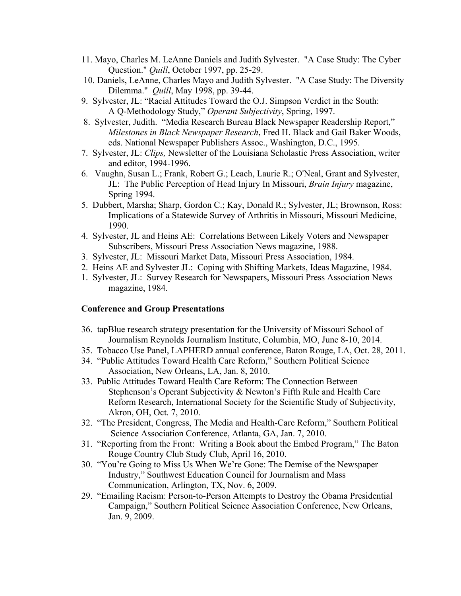- 11. Mayo, Charles M. LeAnne Daniels and Judith Sylvester. "A Case Study: The Cyber Question." *Quill*, October 1997, pp. 25-29.
- 10. Daniels, LeAnne, Charles Mayo and Judith Sylvester. "A Case Study: The Diversity Dilemma." *Quill*, May 1998, pp. 39-44.
- 9. Sylvester, JL: "Racial Attitudes Toward the O.J. Simpson Verdict in the South: A Q-Methodology Study," *Operant Subjectivity*, Spring, 1997.
- 8. Sylvester, Judith. "Media Research Bureau Black Newspaper Readership Report," *Milestones in Black Newspaper Research*, Fred H. Black and Gail Baker Woods, eds. National Newspaper Publishers Assoc., Washington, D.C., 1995.
- 7. Sylvester, JL: *Clips,* Newsletter of the Louisiana Scholastic Press Association, writer and editor, 1994-1996.
- 6. Vaughn, Susan L.; Frank, Robert G.; Leach, Laurie R.; O'Neal, Grant and Sylvester, JL: The Public Perception of Head Injury In Missouri, *Brain Injury* magazine, Spring 1994.
- 5. Dubbert, Marsha; Sharp, Gordon C.; Kay, Donald R.; Sylvester, JL; Brownson, Ross: Implications of a Statewide Survey of Arthritis in Missouri, Missouri Medicine, 1990.
- 4. Sylvester, JL and Heins AE: Correlations Between Likely Voters and Newspaper Subscribers, Missouri Press Association News magazine, 1988.
- 3. Sylvester, JL: Missouri Market Data, Missouri Press Association, 1984.
- 2. Heins AE and Sylvester JL: Coping with Shifting Markets, Ideas Magazine, 1984.
- 1. Sylvester, JL: Survey Research for Newspapers, Missouri Press Association News magazine, 1984.

# **Conference and Group Presentations**

- 36. tapBlue research strategy presentation for the University of Missouri School of Journalism Reynolds Journalism Institute, Columbia, MO, June 8-10, 2014.
- 35. Tobacco Use Panel, LAPHERD annual conference, Baton Rouge, LA, Oct. 28, 2011.
- 34. "Public Attitudes Toward Health Care Reform," Southern Political Science Association, New Orleans, LA, Jan. 8, 2010.
- 33. Public Attitudes Toward Health Care Reform: The Connection Between Stephenson's Operant Subjectivity & Newton's Fifth Rule and Health Care Reform Research, International Society for the Scientific Study of Subjectivity, Akron, OH, Oct. 7, 2010.
- 32. "The President, Congress, The Media and Health-Care Reform," Southern Political Science Association Conference, Atlanta, GA, Jan. 7, 2010.
- 31. "Reporting from the Front: Writing a Book about the Embed Program," The Baton Rouge Country Club Study Club, April 16, 2010.
- 30. "You're Going to Miss Us When We're Gone: The Demise of the Newspaper Industry," Southwest Education Council for Journalism and Mass Communication, Arlington, TX, Nov. 6, 2009.
- 29. "Emailing Racism: Person-to-Person Attempts to Destroy the Obama Presidential Campaign," Southern Political Science Association Conference, New Orleans, Jan. 9, 2009.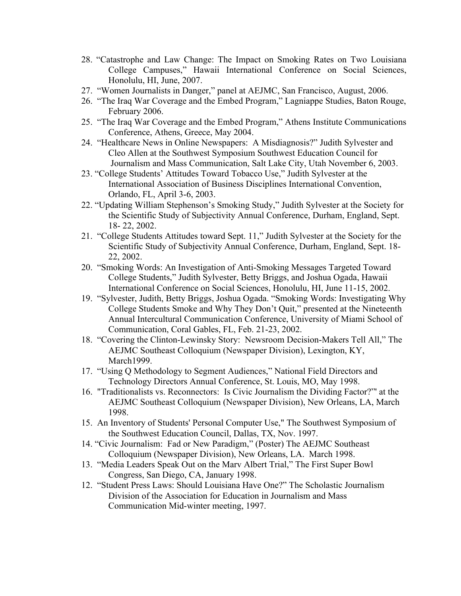- 28. "Catastrophe and Law Change: The Impact on Smoking Rates on Two Louisiana College Campuses," Hawaii International Conference on Social Sciences, Honolulu, HI, June, 2007.
- 27. "Women Journalists in Danger," panel at AEJMC, San Francisco, August, 2006.
- 26. "The Iraq War Coverage and the Embed Program," Lagniappe Studies, Baton Rouge, February 2006.
- 25. "The Iraq War Coverage and the Embed Program," Athens Institute Communications Conference, Athens, Greece, May 2004.
- 24. "Healthcare News in Online Newspapers: A Misdiagnosis?" Judith Sylvester and Cleo Allen at the Southwest Symposium Southwest Education Council for Journalism and Mass Communication, Salt Lake City, Utah November 6, 2003.
- 23. "College Students' Attitudes Toward Tobacco Use," Judith Sylvester at the International Association of Business Disciplines International Convention, Orlando, FL, April 3-6, 2003.
- 22. "Updating William Stephenson's Smoking Study," Judith Sylvester at the Society for the Scientific Study of Subjectivity Annual Conference, Durham, England, Sept. 18- 22, 2002.
- 21. "College Students Attitudes toward Sept. 11," Judith Sylvester at the Society for the Scientific Study of Subjectivity Annual Conference, Durham, England, Sept. 18- 22, 2002.
- 20. "Smoking Words: An Investigation of Anti-Smoking Messages Targeted Toward College Students," Judith Sylvester, Betty Briggs, and Joshua Ogada, Hawaii International Conference on Social Sciences, Honolulu, HI, June 11-15, 2002.
- 19. "Sylvester, Judith, Betty Briggs, Joshua Ogada. "Smoking Words: Investigating Why College Students Smoke and Why They Don't Quit," presented at the Nineteenth Annual Intercultural Communication Conference, University of Miami School of Communication, Coral Gables, FL, Feb. 21-23, 2002.
- 18. "Covering the Clinton-Lewinsky Story: Newsroom Decision-Makers Tell All," The AEJMC Southeast Colloquium (Newspaper Division), Lexington, KY, March1999.
- 17. "Using Q Methodology to Segment Audiences," National Field Directors and Technology Directors Annual Conference, St. Louis, MO, May 1998.
- 16. "Traditionalists vs. Reconnectors: Is Civic Journalism the Dividing Factor?"' at the AEJMC Southeast Colloquium (Newspaper Division), New Orleans, LA, March 1998.
- 15. An Inventory of Students' Personal Computer Use," The Southwest Symposium of the Southwest Education Council, Dallas, TX, Nov. 1997.
- 14. "Civic Journalism: Fad or New Paradigm," (Poster) The AEJMC Southeast Colloquium (Newspaper Division), New Orleans, LA. March 1998.
- 13. "Media Leaders Speak Out on the Marv Albert Trial," The First Super Bowl Congress, San Diego, CA, January 1998.
- 12. "Student Press Laws: Should Louisiana Have One?" The Scholastic Journalism Division of the Association for Education in Journalism and Mass Communication Mid-winter meeting, 1997.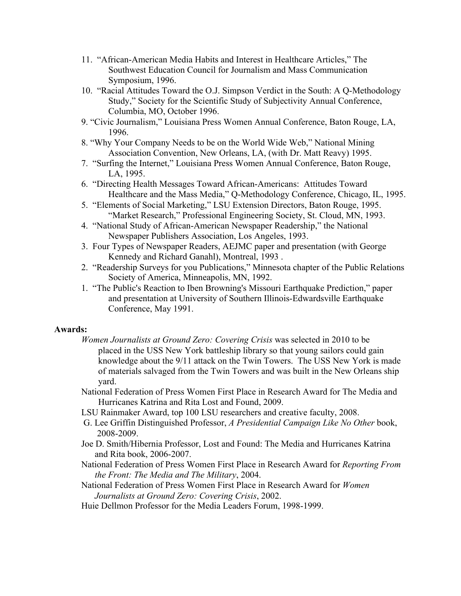- 11. "African-American Media Habits and Interest in Healthcare Articles," The Southwest Education Council for Journalism and Mass Communication Symposium, 1996.
- 10. "Racial Attitudes Toward the O.J. Simpson Verdict in the South: A Q-Methodology Study," Society for the Scientific Study of Subjectivity Annual Conference, Columbia, MO, October 1996.
- 9. "Civic Journalism," Louisiana Press Women Annual Conference, Baton Rouge, LA, 1996.
- 8. "Why Your Company Needs to be on the World Wide Web," National Mining Association Convention, New Orleans, LA, (with Dr. Matt Reavy) 1995.
- 7. "Surfing the Internet," Louisiana Press Women Annual Conference, Baton Rouge, LA, 1995.
- 6. "Directing Health Messages Toward African-Americans: Attitudes Toward Healthcare and the Mass Media," Q-Methodology Conference, Chicago, IL, 1995.
- 5. "Elements of Social Marketing," LSU Extension Directors, Baton Rouge, 1995. "Market Research," Professional Engineering Society, St. Cloud, MN, 1993.
- 4. "National Study of African-American Newspaper Readership," the National Newspaper Publishers Association, Los Angeles, 1993.
- 3. Four Types of Newspaper Readers, AEJMC paper and presentation (with George Kennedy and Richard Ganahl), Montreal, 1993 .
- 2. "Readership Surveys for you Publications," Minnesota chapter of the Public Relations Society of America, Minneapolis, MN, 1992.
- 1. "The Public's Reaction to Iben Browning's Missouri Earthquake Prediction," paper and presentation at University of Southern Illinois-Edwardsville Earthquake Conference, May 1991.

# **Awards:**

- *Women Journalists at Ground Zero: Covering Crisis* was selected in 2010 to be placed in the USS New York battleship library so that young sailors could gain knowledge about the 9/11 attack on the Twin Towers. The USS New York is made of materials salvaged from the Twin Towers and was built in the New Orleans ship yard.
- National Federation of Press Women First Place in Research Award for The Media and Hurricanes Katrina and Rita Lost and Found, 2009.
- LSU Rainmaker Award, top 100 LSU researchers and creative faculty, 2008.
- G. Lee Griffin Distinguished Professor, *A Presidential Campaign Like No Other* book, 2008-2009.
- Joe D. Smith/Hibernia Professor, Lost and Found: The Media and Hurricanes Katrina and Rita book, 2006-2007.
- National Federation of Press Women First Place in Research Award for *Reporting From the Front: The Media and The Military*, 2004.
- National Federation of Press Women First Place in Research Award for *Women Journalists at Ground Zero: Covering Crisis*, 2002.
- Huie Dellmon Professor for the Media Leaders Forum, 1998-1999.